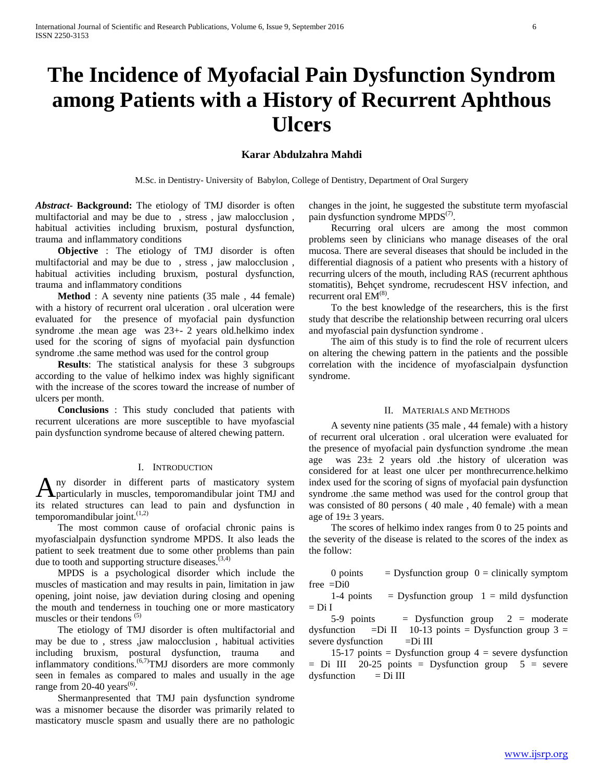# **The Incidence of Myofacial Pain Dysfunction Syndrom among Patients with a History of Recurrent Aphthous Ulcers**

# **Karar Abdulzahra Mahdi**

M.Sc. in Dentistry- University of Babylon, College of Dentistry, Department of Oral Surgery

*Abstract***- Background:** The etiology of TMJ disorder is often multifactorial and may be due to , stress , jaw malocclusion , habitual activities including bruxism, postural dysfunction, trauma and inflammatory conditions

 **Objective** : The etiology of TMJ disorder is often multifactorial and may be due to , stress , jaw malocclusion , habitual activities including bruxism, postural dysfunction, trauma and inflammatory conditions

**Method** : A seventy nine patients (35 male, 44 female) with a history of recurrent oral ulceration . oral ulceration were evaluated for the presence of myofacial pain dysfunction syndrome .the mean age was 23+- 2 years old.helkimo index used for the scoring of signs of myofacial pain dysfunction syndrome .the same method was used for the control group

 **Results**: The statistical analysis for these 3 subgroups according to the value of helkimo index was highly significant with the increase of the scores toward the increase of number of ulcers per month.

 **Conclusions** : This study concluded that patients with recurrent ulcerations are more susceptible to have myofascial pain dysfunction syndrome because of altered chewing pattern.

### I. INTRODUCTION

ny disorder in different parts of masticatory system Any disorder in different parts of masticatory system particularly in muscles, temporomandibular joint TMJ and its related structures can lead to pain and dysfunction in temporomandibular joint.<sup>(1,2)</sup>

 The most common cause of orofacial chronic pains is myofascialpain dysfunction syndrome MPDS. It also leads the patient to seek treatment due to some other problems than pain due to tooth and supporting structure diseases. $(3,4)$ 

 MPDS is a psychological disorder which include the muscles of mastication and may results in pain, limitation in jaw opening, joint noise, jaw deviation during closing and opening the mouth and tenderness in touching one or more masticatory muscles or their tendons  $(5)$ 

 The etiology of TMJ disorder is often multifactorial and may be due to , stress ,jaw malocclusion , habitual activities including bruxism, postural dysfunction, trauma and inflammatory conditions.(6,7)TMJ disorders are more commonly seen in females as compared to males and usually in the age range from 20-40 years<sup> $(6)$ </sup>.

 Shermanpresented that TMJ pain dysfunction syndrome was a misnomer because the disorder was primarily related to masticatory muscle spasm and usually there are no pathologic changes in the joint, he suggested the substitute term myofascial pain dysfunction syndrome  $MPDS^{(7)}$ .

 Recurring oral ulcers are among the most common problems seen by clinicians who manage diseases of the oral mucosa. There are several diseases that should be included in the differential diagnosis of a patient who presents with a history of recurring ulcers of the mouth, including RAS (recurrent aphthous stomatitis), Behçet syndrome, recrudescent HSV infection, and recurrent oral  $EM^{(8)}$ .

 To the best knowledge of the researchers, this is the first study that describe the relationship between recurring oral ulcers and myofascial pain dysfunction syndrome .

 The aim of this study is to find the role of recurrent ulcers on altering the chewing pattern in the patients and the possible correlation with the incidence of myofascialpain dysfunction syndrome.

#### II. MATERIALS AND METHODS

 A seventy nine patients (35 male , 44 female) with a history of recurrent oral ulceration . oral ulceration were evaluated for the presence of myofacial pain dysfunction syndrome .the mean age was  $23\pm 2$  years old .the history of ulceration was considered for at least one ulcer per monthrecurrence.helkimo index used for the scoring of signs of myofacial pain dysfunction syndrome .the same method was used for the control group that was consisted of 80 persons ( 40 male , 40 female) with a mean age of  $19± 3$  years.

 The scores of helkimo index ranges from 0 to 25 points and the severity of the disease is related to the scores of the index as the follow:

0 points  $\qquad$  = Dysfunction group 0 = clinically symptom free =Di0

1-4 points = Dysfunction group  $1 =$  mild dysfunction  $=$  Di I

5-9 points  $=$  Dysfunction group  $2 =$  moderate dysfunction =Di II 10-13 points = Dysfunction group  $3 =$ severe dysfunction  $=$ Di III

15-17 points = Dysfunction group  $4$  = severe dysfunction  $=$  Di III 20-25 points  $=$  Dysfunction group  $5 =$  severe  $dy$ sfunction = Di III